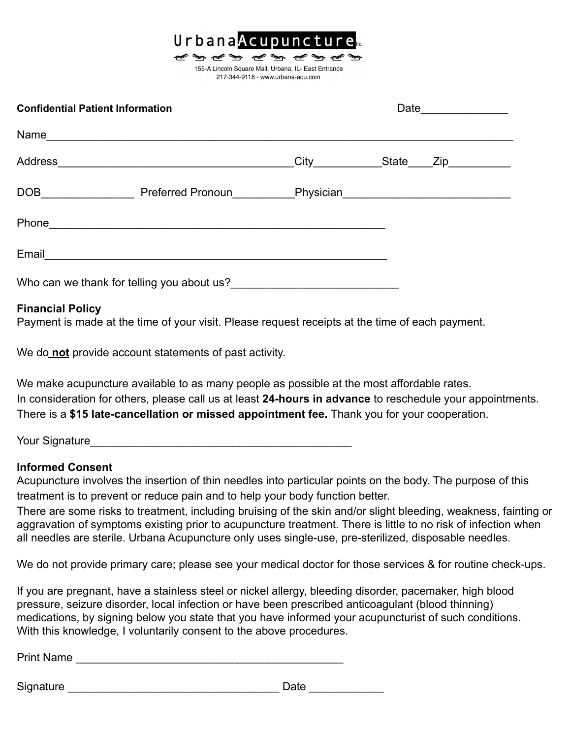

<u>ENES E</u> 155-A Lincoln Square Mall, Urbana, IL- East Entrance 217-344-9118 - www.urbana-acu.com

| <b>Confidential Patient Information</b> |                                                                                                                                                                                                                                | Date __________ |  |                                             |  |  |  |
|-----------------------------------------|--------------------------------------------------------------------------------------------------------------------------------------------------------------------------------------------------------------------------------|-----------------|--|---------------------------------------------|--|--|--|
|                                         |                                                                                                                                                                                                                                |                 |  |                                             |  |  |  |
|                                         |                                                                                                                                                                                                                                |                 |  | City______________State_____Zip____________ |  |  |  |
|                                         | DOB___________________________Preferred Pronoun_____________Physician_______________________________                                                                                                                           |                 |  |                                             |  |  |  |
|                                         |                                                                                                                                                                                                                                |                 |  |                                             |  |  |  |
|                                         | Email experience and the contract of the contract of the contract of the contract of the contract of the contract of the contract of the contract of the contract of the contract of the contract of the contract of the contr |                 |  |                                             |  |  |  |
|                                         | Who can we thank for telling you about us?<br><u> Who can we thank for telling you about us?</u>                                                                                                                               |                 |  |                                             |  |  |  |
| <b>Financial Policy</b>                 |                                                                                                                                                                                                                                |                 |  |                                             |  |  |  |

## Payment is made at the time of your visit. Please request receipts at the time of each payment.

We do **not** provide account statements of past activity.

We make acupuncture available to as many people as possible at the most affordable rates. In consideration for others, please call us at least **24-hours in advance** to reschedule your appointments. There is a **\$15 late-cancellation or missed appointment fee.** Thank you for your cooperation.

Your Signature

## **Informed Consent**

Acupuncture involves the insertion of thin needles into particular points on the body. The purpose of this treatment is to prevent or reduce pain and to help your body function better.

There are some risks to treatment, including bruising of the skin and/or slight bleeding, weakness, fainting or aggravation of symptoms existing prior to acupuncture treatment. There is little to no risk of infection when all needles are sterile. Urbana Acupuncture only uses single-use, pre-sterilized, disposable needles.

We do not provide primary care; please see your medical doctor for those services & for routine check-ups.

If you are pregnant, have a stainless steel or nickel allergy, bleeding disorder, pacemaker, high blood pressure, seizure disorder, local infection or have been prescribed anticoagulant (blood thinning) medications, by signing below you state that you have informed your acupuncturist of such conditions. With this knowledge, I voluntarily consent to the above procedures.

Print Name \_\_\_\_\_\_\_\_\_\_\_\_\_\_\_\_\_\_\_\_\_\_\_\_\_\_\_\_\_\_\_\_\_\_\_\_\_\_\_\_\_\_\_

Signature **Example 2** and the set of the control of the Date  $\Box$  Date  $\Box$